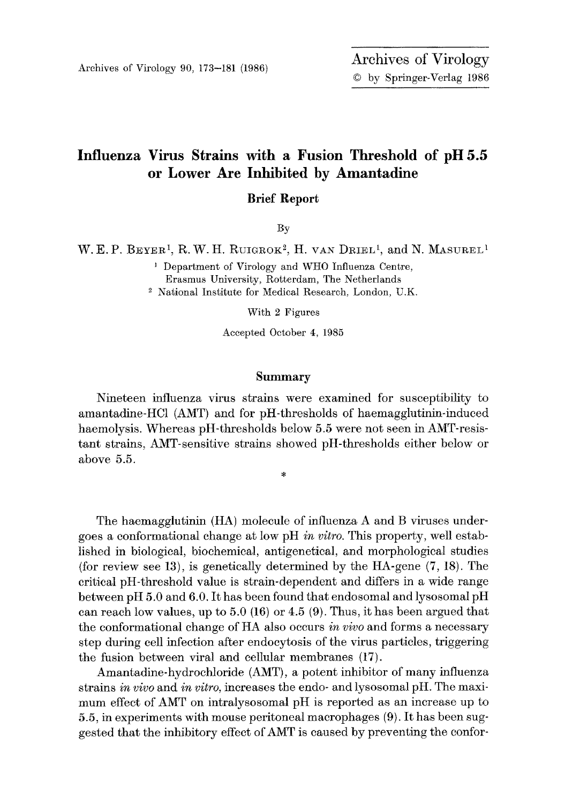## **Influenza Virus Strains with a Fusion Threshold of pH 5.5 or Lower Are Inhibited by Amantadine**

**Brief Report** 

By

W. E. P. BEYER<sup>1</sup>, R. W. H. RUIGROK<sup>2</sup>, H. VAN DRIEL<sup>1</sup>, and N. MASUREL<sup>1</sup>

i Department of Virology and WHO Influenza Centre, Erasmus University, Rotterdam, The Netherlands 2 National Institute for Medical Research, London, U.K.

With 2 Figures

Accepted October 4, 1985

## **Summary**

Nineteen influenza virus strains were examined for susceptibility to amantadine-HC1 (AMT) and for pH-thresholds of haemagglutinin-induced haemolysis. Whereas pH-thresholds below 5.5 were not seen in AMT-resistant strains, AMT-sensitive strains showed pH-thresholds either below or above 5.5.

ý,

The haemagglutinin (HA) molecule of influenza A and B viruses undergoes a conformational change at low pH *in vitro*. This property, well established in biological, biochemical, antigenetieal, and morphological studies (for review see 13), is genetically determined by the HA-gene (7, 18). The critical pH-threshold value is strain-dependent and differs in a wide range between pH 5.0 and 6.0. It has been found that endosomal and lysosomal pH can reach low values, up to  $5.0$  (16) or  $4.5$  (9). Thus, it has been argued that the conformational change of HA also occurs *in vivo* and forms a necessary step during cell infection after endocytosis of the virus particles, triggering the fusion between viral and cellular membranes (17).

Amantadine-hydrochloride (AMT), a potent inhibitor of many influenza strains *in vivo* and *in vitro,* increases the endo- and lysosomal pH. The maximum effect of AMT on intralysosomal pH is reported as an increase up to 5.5, in experiments with mouse peritoneal maerophages (9). It has been suggested that the inhibitory effect of AMT is caused by preventing the confor-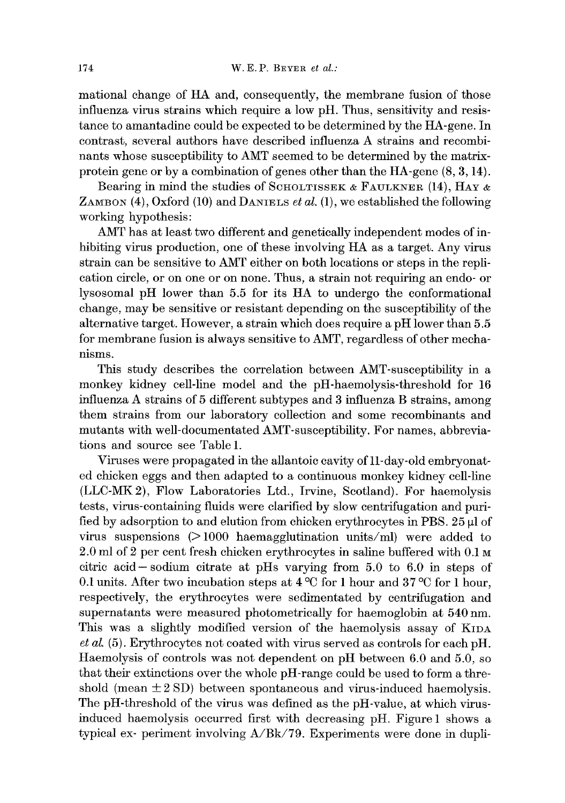mational change of HA and, consequently, the membrane thsion of those influenza virus strains which require a low pH. Thus, sensitivity and resistance to amantadine could be expected to be determined by the HA-gene. In contrast, several authors have described influenza A strains and recombinants whose susceptibility to AMT seemed to be determined by the matrixprotein gene or by a combination of genes other than the HA-gene (8, 3, 14).

Bearing in mind the studies of SCHOLTISSEK & FAULKNER (14), HAY  $\alpha$ ZAMBON  $(4)$ , Oxford  $(10)$  and DANIELS *et al.*  $(1)$ , we established the following working hypothesis:

AMT has at least two different and genetically independent modes of inhibiting virus production, one of these involving HA as a target. Any virus strain can be sensitive to AMT either on both locations or steps in the replication circle, or on one or on none. Thus, a strain not requiring an endo- or lysosomal pH lower than 5.5 for its HA to undergo the conformational change, may be sensitive or resistant depending on the susceptibility of the alternative target. However, a strain which does require a pH lower than 5.5 for membrane fusion is always sensitive to AMT, regardless of other mechanisms.

This study describes the correlation between AMT-susceptibility in a monkey kidney cell-line model and the pH-haemolysis-threshold for 16 influenza A strains of 5 different subtypes and 3 influenza B strains, among them strains from our laboratory collection and some reeombinants and mutants with well-doeumentated AMT-suseeptibility. For names, abbreviations and source see Table 1.

Viruses were propagated in the allantoie cavity of ll-day-old embryonated chicken eggs and then adapted to a continuous monkey kidney cell-line (LLC-MK2), Flow Laboratories Ltd., Irvine, Scotland). For haemolysis tests, virus-containing fluids were clarified by slow centrifugation and purified by adsorption to and elution from chicken erythrocytes in PBS.  $25 \mu$  of virus suspensions  $(>1000$  haemagglutination units/ml) were added to 2.0 ml of 2 per cent fresh chicken erythroeytes in saline buffered with 0.1 M citric acid-sodium citrate at pHs varying from 5.0 to 6.0 in steps of 0.1 units. After two incubation steps at  $4^{\circ}$ C for 1 hour and 37 °C for 1 hour, respectively, the erythrocytes were sedimentated by centrifugation and supernatants were measured photometrically for haemoglobin at 540 nm. This was a slightly modified version of the haemolysis assay of KIDA *et al.* (5). Erythrocytes not coated with virus served as controls for each pH. Haemolysis of controls was not dependent on pH between 6.0 and 5.0, so that their extinctions over the whole pH-range could be used to form a threshold (mean  $\pm 2$  SD) between spontaneous and virus-induced haemolysis. The pH-threshold of the virus was defined as the pH-value, at which virusinduced haemolysis occurred first with decreasing pH. Figure 1 shows a typical ex- periment involving  $A/Bk/79$ . Experiments were done in dupli-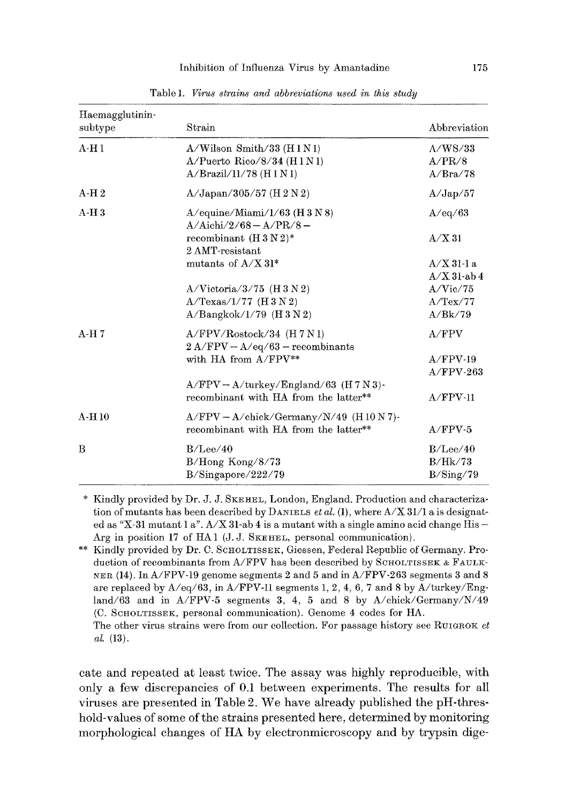| Haemagglutinin-<br>subtype | Strain                                                                                 | Abbreviation                           |  |
|----------------------------|----------------------------------------------------------------------------------------|----------------------------------------|--|
| $A-H1$                     | $A/W$ ilson Smith/33 ( $H1N1$ )<br>A/Puerto Rico/8/34 (H1N1)<br>A/Brazil/11/78 (H1 N1) | $\Lambda$ /WS/33<br>A/PR/8<br>A/Bra/78 |  |
| A H 2                      | $A/Japan/305/57$ (H 2 N 2)                                                             | A/Jap/57                               |  |
| $A-H3$                     | $A$ /equine/Miami/ $1/63$ (H 3 N 8)<br>$A/Aichi/2/68 - A/PR/8 -$                       | A/eq/63                                |  |
|                            | recombinant $(H 3 N 2)^*$<br>2 AMT-resistant                                           | A/X31                                  |  |
|                            | mutants of $A/X$ 31*                                                                   | $A/X$ 31-1 a<br>$A/X$ 31-ab 4          |  |
|                            | $A/Victoria/3/75$ (H 3 N 2)                                                            | A/Vic/75                               |  |
|                            | $A/Texas/1/77$ (H 3 N 2)<br>$A/Bangkok/1/79$ (H 3 N 2)                                 | A/TeX/77<br>A/Bk/79                    |  |
| $A-H7$                     | $A/FPV/Rootock/34$ (H 7 N 1)<br>$2 A/FPV - A/eq/63 - recombinants$                     | A/FPV                                  |  |
|                            | with HA from $A/FPV^{**}$                                                              | $A/FPV-19$<br>$A/FPV-263$              |  |
|                            | $A/FPV - A/turkey/England/63$ (H 7 N 3)-<br>recombinant with HA from the latter**      | $A/FPV-11$                             |  |
| $A-H10$                    | $A/FPV - A/check/Germany/N/49$ (H 10 N 7)-<br>recombinant with HA from the latter**    | $A/FPV-5$                              |  |
| B                          | B/Lee/40<br>$B/Hong$ Kong/8/73<br>B/Singapore/222/79                                   | B/Lee/40<br>B/Hk/73<br>B/Sing/79       |  |

Table 1. *Virus strains and abbreviations used in this study* 

\* Kindly provided by Dr. J. J. SKEHEL, London, England. Production and characterization of mutants has been described by DANIELS *et al.* (1), where  $A/X$  31/1 a is designated as  $"X-31$  mutant 1 a".  $A/X$  31-ab 4 is a mutant with a single amino acid change His -Arg in position 17 of HA 1 (J. J. SKEHEL, personal communication).

\*\* Kindly provided by Dr. C. SCHOLTISSEK, Giessen, Federal Republic of Germany. Production of recombinants from A/FPV has been described by SCHOLTISSEK & FAULK-NER (14). In  $A/FPV-19$  genome segments 2 and 5 and in  $A/FPV-263$  segments 3 and 8 are replaced by  $A/eq/63$ , in  $A/FPV-11$  segments 1, 2, 4, 6, 7 and 8 by  $A/turkey/Eng$ land/63 and in A/FPV-5 segments 3, 4, 5 and 8 by A/chick/Germany/N/49 (C. SCIJO:LTISSEK, personal communication). Genome 4 codes for HA.

The other virus strains were from our collection. For passage history see RUIGROK et *aI.* (13).

care and repeated at least twice. The assay was highly reproducible, with only a few discrepancies of 0.1 between experiments. The results for all viruses are presented in Table 2. We have already published the pH-threshold-values of some of the strains presented here, determined by monitoring morphological changes of HA by electronmicroscopy and by trypsin dige-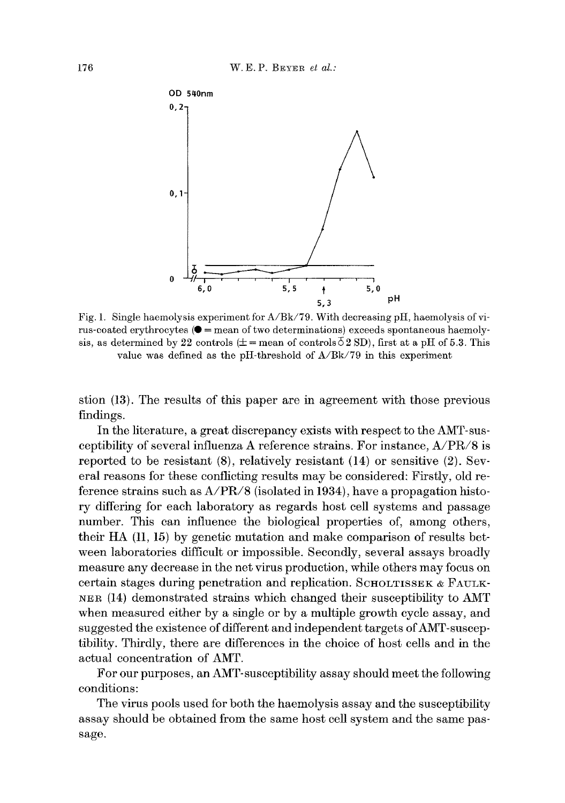

Fig. 1. Single haemolysis experiment for A/Bk/79. With decreasing pH, haemolysis of virus-coated erythrocytes  $(① =$  mean of two determinations) exceeds spontaneous haemolysis, as determined by 22 controls  $(\pm = \text{mean of controls } 52 \text{ SD})$ , first at a pH of 5.3. This value was defined as the pH-threshold of A/Bk/79 in this experiment

stion (13). The results of this paper are in agreement with those previous findings.

In the literature, a great discrepancy exists with respect to the AMT-susceptibility of several influenza A reference strains. For instance, A/PR/8 is reported to be resistant (8), relatively resistant (14) or sensitive (2). Several reasons for these conflicting results may be considered: Firstly, old reference strains such as A/PR/8 (isolated in 1934), have a propagation history differing for each laboratory as regards host cell systems and passage number. This can influence the biological properties of, among others, their HA (11, 15) by genetic mutation and make comparison of results between laboratories difficult or impossible. Secondly, several assays broadly measure any decrease in the net virus production, while others may focus on certain stages during penetration and replication. SCHOLTISSEK & FAULK-~ER (14) demonstrated strains which changed their susceptibility to AMT when measured either by a single or by a multiple growth cycle assay, and suggested the existence of different and independent targets of AMT-susceptibility. Thirdly, there are differences in the choice of host cells and in the actual concentration of AMT.

For our purposes, an AMT-susceptibility assay should meet the following conditions:

The virus pools used for both the haemolysis assay and the susceptibility assay should be obtained from the same host cell system and the same passage.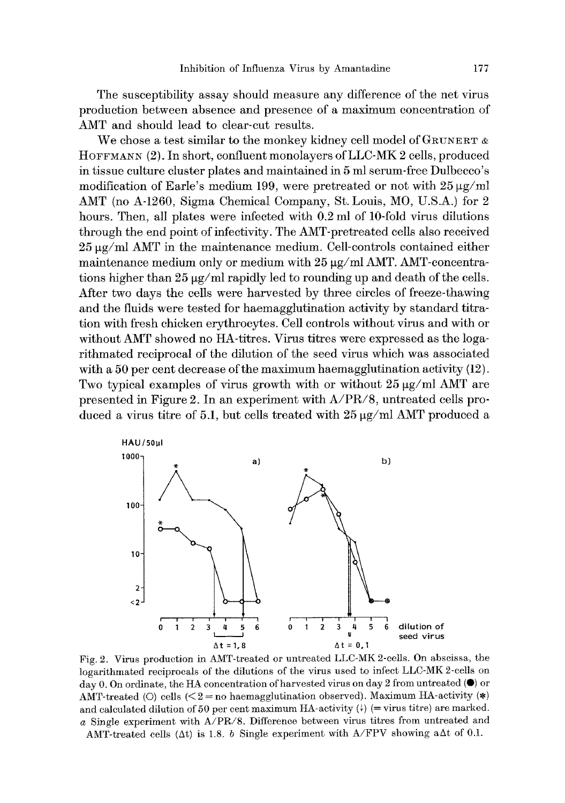The susceptibility assay should measure any difference of the net virus production between absence and presence of a maximum concentration of AMT and should lead to clear-cut results.

We chose a test similar to the monkey kidney cell model of  $G_{\text{RUNERT}}$   $\alpha$ HOFFMANN (2). In short, confluent monolayers ofLLC-MK 2 cells, produced in tissue culture cluster plates and maintained in 5 ml serum-free Dulbecco's modification of Earle's medium 199, were pretreated or not with  $25 \mu g/ml$ AMT (no A-1260, Sigma Chemical Company, St. Louis, M0, U.S.A.) for 2 hours. Then, all plates were infected with 0.2 ml of 10-fold virus dilutions through the end point of infectivity. The AMT-pretreated cells also received  $25 \mu g/ml$  AMT in the maintenance medium. Cell-controls contained either maintenance medium only or medium with  $25 \mu g/ml$  AMT. AMT-concentrations higher than  $25 \mu g/ml$  rapidly led to rounding up and death of the cells. After two days the cells were harvested by three circles of freeze-thawing and the fluids were tested for haemagglutination activity by standard titration with fresh chicken erythrocytes. Cell controls without virus and with or without AMT showed no HA-titres. Virus titres were expressed as the logarithmated reciprocal of the dilution of the seed virus which was associated with a 50 per cent decrease of the maximum haemagglutination activity  $(12)$ . Two typical examples of virus growth with or without  $25 \mu g/ml$  AMT are presented in Figure 2. In an experiment with A/PR/8, untreated cells produced a virus titre of 5.1, but cells treated with  $25 \,\mathrm{\mu g}/{\mathrm{ml}}$  AMT produced a



Fig. 2. Virus production in AMT-treated or untreated LLC-MK 2-cells. On abscissa, the logarithmated reciprocals of the dilutions of the virus used to infect LLC-MK 2-cells on day 0. On ordinate, the HA concentration of harvested virus on day 2 from untreated  $(\bullet)$  or AMT-treated (O) cells ( $\leq$  2 = no haemagglutination observed). Maximum HA-activity (\*) and calculated dilution of 50 per cent maximum HA-activity  $(4)$  (= virus titre) are marked. a Single experiment with A/PR/8. Difference between virus titres from untreated and AMT-treated cells ( $\Delta t$ ) is 1.8. b Single experiment with A/FPV showing a $\Delta t$  of 0.1.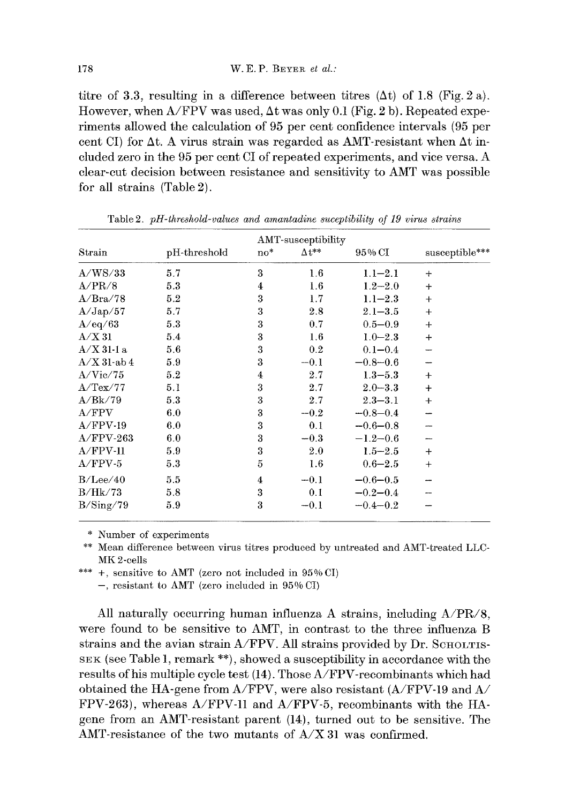titre of 3.3, resulting in a difference between titres  $(\Delta t)$  of 1.8 (Fig. 2 a). However, when  $A/FPV$  was used,  $\Delta t$  was only 0.1 (Fig. 2 b). Repeated experiments allowed the calculation of 95 per cent confidence intervals (95 per cent CI) for  $\Delta t$ . A virus strain was regarded as AMT-resistant when  $\Delta t$  included zero in the 95 per cent CI of repeated experiments, and vice versa. A clear-cut decision between resistance and sensitivity to AMT was possible for all strains (Table 2).

|                |              |       | AMT-susceptibility |              |                |
|----------------|--------------|-------|--------------------|--------------|----------------|
| Strain         | pH-threshold | $no*$ | $\Delta t^{**}$    | 95% CI       | susceptible*** |
| A/WS/33        | 5.7          | 3     | $1.6\,$            | $1.1 - 2.1$  | $\div$         |
| A/PR/8         | 5.3          | 4     | 1.6                | $1.2 - 2.0$  | $\ddot{}$      |
| A/Bra/78       | 5.2          | 3     | 1.7                | $1.1 - 2.3$  | $\ddot{}$      |
| A/Jap/57       | 5.7          | 3     | 2.8                | $2.1 - 3.5$  | $+$            |
| A/eq/63        | 5.3          | 3     | 0.7                | $0.5 - 0.9$  | $^{+}$         |
| A/X31          | 5.4          | 3     | 1.6                | $1.0 - 2.3$  | $\ddot{}$      |
| A/X311a        | 5.6          | 3     | 0.2                | $0.1 - 0.4$  |                |
| $A/X$ 31-ab 4  | 5.9          | 3     | $-0.1$             | $-0.8 - 0.6$ |                |
| A/Vic/75       | 5.2          | 4     | 2.7                | $1.3 - 5.3$  | $\div$         |
| $A/$ Tex $/77$ | 5.1          | 3     | 2.7                | $2.0 - 3.3$  | $\ddot{}$      |
| A/Bk/79        | 5.3          | 3     | 2.7                | $2.3 - 3.1$  | $^{+}$         |
| A/FPV          | 6.0          | 3     | $-0.2$             | $-0.8 - 0.4$ |                |
| $A/FPV-19$     | 6.0          | 3     | 0.1                | $-0.6 - 0.8$ |                |
| $A/FPV-263$    | 6.0          | 3     | $-0.3$             | $-1.2 - 0.6$ |                |
| $A/FPV-11$     | 5.9          | 3     | 2.0                | $1.5 - 2.5$  | $\div$         |
| $A/FPV-5$      | 5.3          | 5     | 1.6                | $0.6 - 2.5$  | $+$            |
| B/Lee/40       | 5.5          | 4     | $-0.1$             | $-0.6 - 0.5$ |                |
| B/Hk/73        | 5.8          | 3     | 0.1                | $-0.2 - 0.4$ |                |
| B/Sing/79      | 5.9          | 3     | $-0.1$             | $-0.4 - 0.2$ |                |

Table 2. *pH-threshold-values and amantadine suceptibility of 19 virus strains* 

\* Number of experiments

\*\* Mean difference between virus titres produced by untreated and AMT-treated LLC-MK 2-cells

\*\*\* +, sensitive to AMT (zero not included in 95% CI)

-, resistant to AMT (zero included in 95% CI)

All naturally occurring human influenza A strains, including  $A/PR/8$ , were found to be sensitive to AMT, in contrast to the three influenza B strains and the avian strain  $A/FPV$ . All strains provided by Dr. SCHOLTIS-SEK (see Table 1, remark \*\*), showed a susceptibility in accordance with the results of his multiple cycle test (14). Those A/FPV-reeombinants which had obtained the HA-gene from A/FPV, were also resistant  $(A/FPV-19)$  and  $A/$ FPV-263), whereas A/FPV-11 and A/FPV-5, recombinants with the HAgene from an AMT-resistant parent (14), turned out to be sensitive. The AMT-resistanee of the two mutants of A/X 31 was confirmed.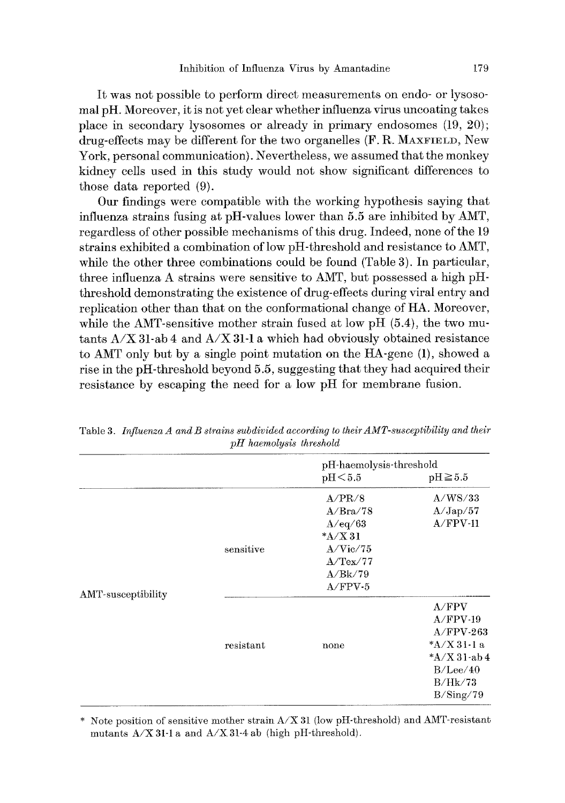It was not possible to perform direct measurements on endo- or lysosomal pH. Moreover, it is not yet clear whether influenza virus uncoating takes place in secondary lysosomes or already in primary endosomes (19, 20); drug-effects may be different for the two organelles (F. R. MAXFIELD, New York, personal communication). Nevertheless, we assumed that the monkey kidney cells used in this study would not show significant differences to those data reported (9).

Our findings were compatible with the working hypothesis saying that influenza strains fusing at pH-values lower than 5.5 are inhibited by AMT, regardless of other possible mechanisms of this drug. Indeed, none of the 19 strains exhibited a combination of low pH-threshold and resistance to AMT, while the other three combinations could be found (Table 3). In particular, three influenza A strains were sensitive to AMT, but possessed a high pHthreshold demonstrating the existence of drug-effects during viral entry and replication other than that on the conformational change of HA. Moreover, while the AMT-sensitive mother strain fused at low pH  $(5.4)$ , the two mutants  $A/X$  31-ab 4 and  $A/X$  31-1 a which had obviously obtained resistance to AMT only but by a single point mutation on the HA-gene (1), showed a rise in the pH-threshold beyond 5.5, suggesting that they had acquired their resistance by escaping the need for a low pH for membrane fusion.

|                    |           |                                                          | pH-haemolysis-threshold                           |  |  |
|--------------------|-----------|----------------------------------------------------------|---------------------------------------------------|--|--|
|                    |           | pH <sub>5.5</sub>                                        | $\text{pH} \geq 5.5$                              |  |  |
| AMT-susceptibility | sensitive | A/PR/8<br>A/Bra/78<br>A/eq/63<br>$*A/X31$<br>$A/V$ ic/75 | A/WS/33<br>A/Jap/57<br>$A/FPV-11$                 |  |  |
|                    |           | $A/$ Tex $/77$<br>A/Bk/79<br>$A/FPV-5$                   |                                                   |  |  |
|                    | resistant | none                                                     | A/FPV<br>$A/FPV-19$<br>$A/FPV-263$<br>$*A/X31-1a$ |  |  |
|                    |           |                                                          | $A/X$ 31-ab 4<br>B/Lee/40<br>B/Hk/73<br>B/Sing/79 |  |  |

Table 3. *Influenza A and B strains subdivided according to their AMT-susceptibility and their pH haemolysis threshold* 

\* Note position of sensitive mother strain  $A/X$  31 (low pH-threshold) and AMT-resistant mutants  $A/X$  31-1 a and  $A/X$  31-4 ab (high pH-threshold).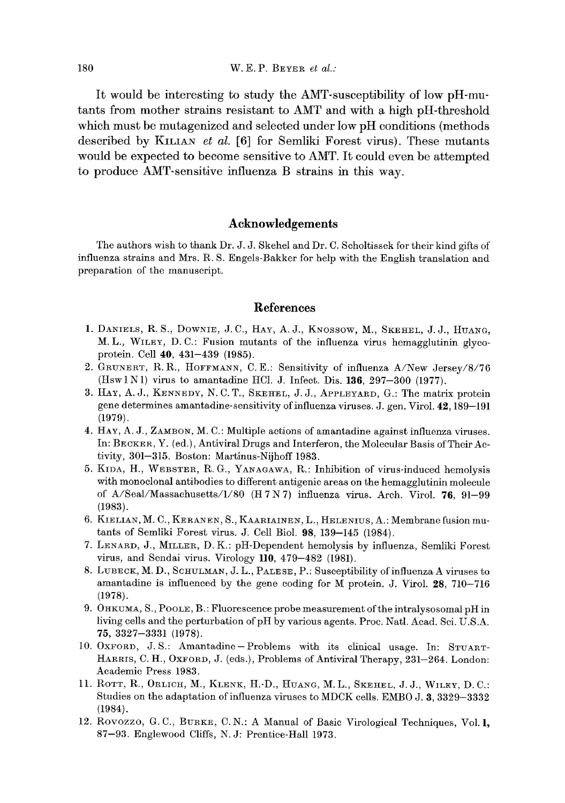It would be interesting to study the AMT-susceptibility of low pH-mutants from mother strains resistant to AMT and with a high pH-threshold which must be mutagenized and selected under low pH conditions (methods) described by KILIAN *et al.* [6] for Semliki Forest virus). These mutants would be expected to become sensitive to AMT. It could even be attempted to produce AMT-sensitive influenza B strains in this way.

## **Acknowledgements**

The authors wish to thank Dr. J. J, Skehel and Dr. C. Scholtissek for their kind gifts of influenza strains and Mrs. R. S. Engels-Bakker for help with the English translation and preparation of the manuscript.

## **References**

- 1. DANIELS, R. S., DOWNIE, J.C., HAY, A.J., KNOSSOW, M., SKEHEL, J.J., HUANG, M.L., WILEY, D.C.: Fusion mutants of the influenza virus hemagglutinin glycoprotein. Cell 40, 431-439 (1985).
- 2. GRUNERT, R.R., HOFFMANN, C.E.: Sensitivity of influenza A/New Jersey/8/76 (Hsw 1 N I) virus to amantadine HCl. J. Infect. Dis.  $136, 297-300$  (1977).
- 3. HAY, A. J., KENNEDY, N. C. T., SKEItEL, J. J., APPLEYARD, G.: The matrix protein gene determines amantadine-sensitivity of influenza viruses. J. gen. Virol. 42,189-191 (1979).
- 4. HAY, A. J., ZAMBON, M. C.: Multiple actions of amantadine against influenza viruses. In: BECKER, Y. (ed.), Antiviral Drugs and Interferon, the Molecular Basis of Their Activity, 301-315. Boston: Martinus-Nijhoff 1983.
- 5. KIDA, H., WEBSTER, R.G., YANAGAWA, R.: Inhibition of virus-induced hemolysis with monoclonal antibodies to different antigenic areas on the hemagglutinin molecule of A/Seal/Massachusetts/I/80 (H7N7) influenza virus. Arch. Virol. 76, 91-99 (1983).
- 6. KIELIAN, M. C., KERANEN, S., KAARIAINEN, L., HELENIUS, A.: Membrane fusion mutants of Semliki Forest virus. J. Cell Biol. 98, 139-145 (1984).
- 7. LENARD, J., MILLER, D.K.: pH-Dependent hemolysis by influenza, Semliki Forest virus, and Sendal virus. Virology ll0, 479-482 (1981).
- 8. LUBECK, M. D., SCHULMAN, J. L., PALESE, P.: Susceptibility of influenza A viruses to amantadine is influenced by the gene coding for M protein. J. Virol. 28, 710-716 (1978).
- 9. OHKUMA, S., POOLE, B.: Fluorescence probe measurement of the intralysosomal pH in living cells and the perturbation of pH by various agents. Proc. Natl. Acad. Sci. U.S.A. 75, 3327-3331 (1978).
- 10. OXFORD, J.S.: Amantadine-Problems with its clinical usage. In: STUART-HARRIS, C. H., OXFORD, J. (eds.), Problems of Antiviral Therapy, 231-264. London: Academic Press 1983.
- 11. ROTT, R., ORLICH, M., KLENK, H.-D., HUANG, M. L., SKEHEL, J. J., WILEY, D. C.: Studies on the adaptation of influenza viruses to MDCK cells. EMBO J. 3, 3329-3332 (1984).
- 12. Rovozzo, G.C., BURKE, C.N.: A Manual of Basic Virological Techniques, Vol. 1, 87-93. Englewood Cliffs, N. J: Prentice-Hall 1973.